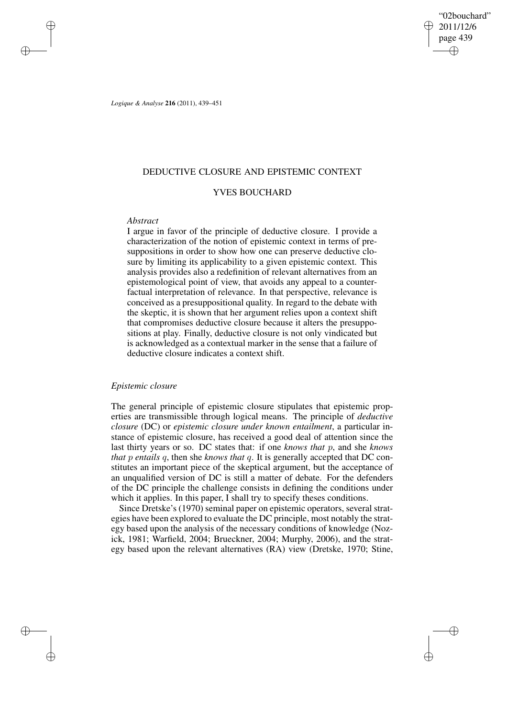"02bouchard" 2011/12/6 page 439 ✐ ✐

✐

✐

*Logique & Analyse* **216** (2011), 439–451

# DEDUCTIVE CLOSURE AND EPISTEMIC CONTEXT

# YVES BOUCHARD

## *Abstract*

✐

✐

✐

✐

I argue in favor of the principle of deductive closure. I provide a characterization of the notion of epistemic context in terms of presuppositions in order to show how one can preserve deductive closure by limiting its applicability to a given epistemic context. This analysis provides also a redefinition of relevant alternatives from an epistemological point of view, that avoids any appeal to a counterfactual interpretation of relevance. In that perspective, relevance is conceived as a presuppositional quality. In regard to the debate with the skeptic, it is shown that her argument relies upon a context shift that compromises deductive closure because it alters the presuppositions at play. Finally, deductive closure is not only vindicated but is acknowledged as a contextual marker in the sense that a failure of deductive closure indicates a context shift.

# *Epistemic closure*

The general principle of epistemic closure stipulates that epistemic properties are transmissible through logical means. The principle of *deductive closure* (DC) or *epistemic closure under known entailment*, a particular instance of epistemic closure, has received a good deal of attention since the last thirty years or so. DC states that: if one *knows that* p, and she *knows that* p *entails* q, then she *knows that* q. It is generally accepted that DC constitutes an important piece of the skeptical argument, but the acceptance of an unqualified version of DC is still a matter of debate. For the defenders of the DC principle the challenge consists in defining the conditions under which it applies. In this paper, I shall try to specify theses conditions.

Since Dretske's (1970) seminal paper on epistemic operators, several strategies have been explored to evaluate the DC principle, most notably the strategy based upon the analysis of the necessary conditions of knowledge (Nozick, 1981; Warfield, 2004; Brueckner, 2004; Murphy, 2006), and the strategy based upon the relevant alternatives (RA) view (Dretske, 1970; Stine,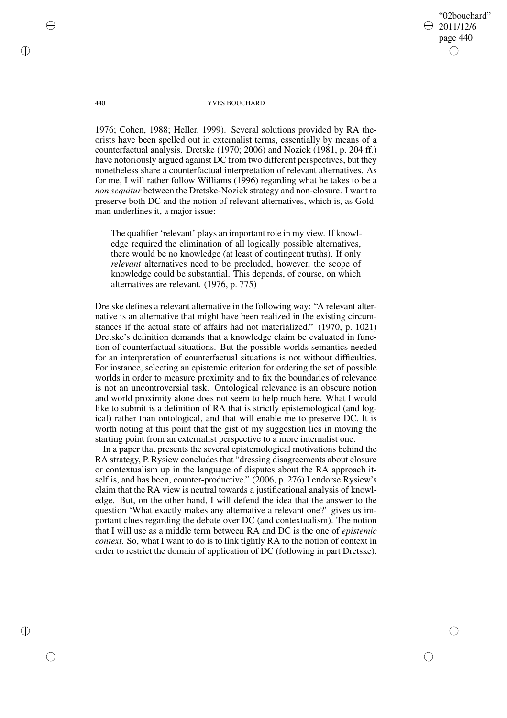"02bouchard" 2011/12/6 page 440 ✐ ✐

✐

✐

#### 440 YVES BOUCHARD

1976; Cohen, 1988; Heller, 1999). Several solutions provided by RA theorists have been spelled out in externalist terms, essentially by means of a counterfactual analysis. Dretske (1970; 2006) and Nozick (1981, p. 204 ff.) have notoriously argued against DC from two different perspectives, but they nonetheless share a counterfactual interpretation of relevant alternatives. As for me, I will rather follow Williams (1996) regarding what he takes to be a *non sequitur* between the Dretske-Nozick strategy and non-closure. I want to preserve both DC and the notion of relevant alternatives, which is, as Goldman underlines it, a major issue:

The qualifier 'relevant' plays an important role in my view. If knowledge required the elimination of all logically possible alternatives, there would be no knowledge (at least of contingent truths). If only *relevant* alternatives need to be precluded, however, the scope of knowledge could be substantial. This depends, of course, on which alternatives are relevant. (1976, p. 775)

Dretske defines a relevant alternative in the following way: "A relevant alternative is an alternative that might have been realized in the existing circumstances if the actual state of affairs had not materialized." (1970, p. 1021) Dretske's definition demands that a knowledge claim be evaluated in function of counterfactual situations. But the possible worlds semantics needed for an interpretation of counterfactual situations is not without difficulties. For instance, selecting an epistemic criterion for ordering the set of possible worlds in order to measure proximity and to fix the boundaries of relevance is not an uncontroversial task. Ontological relevance is an obscure notion and world proximity alone does not seem to help much here. What I would like to submit is a definition of RA that is strictly epistemological (and logical) rather than ontological, and that will enable me to preserve DC. It is worth noting at this point that the gist of my suggestion lies in moving the starting point from an externalist perspective to a more internalist one.

In a paper that presents the several epistemological motivations behind the RA strategy, P. Rysiew concludes that "dressing disagreements about closure or contextualism up in the language of disputes about the RA approach itself is, and has been, counter-productive." (2006, p. 276) I endorse Rysiew's claim that the RA view is neutral towards a justificational analysis of knowledge. But, on the other hand, I will defend the idea that the answer to the question 'What exactly makes any alternative a relevant one?' gives us important clues regarding the debate over DC (and contextualism). The notion that I will use as a middle term between RA and DC is the one of *epistemic context*. So, what I want to do is to link tightly RA to the notion of context in order to restrict the domain of application of DC (following in part Dretske).

✐

✐

✐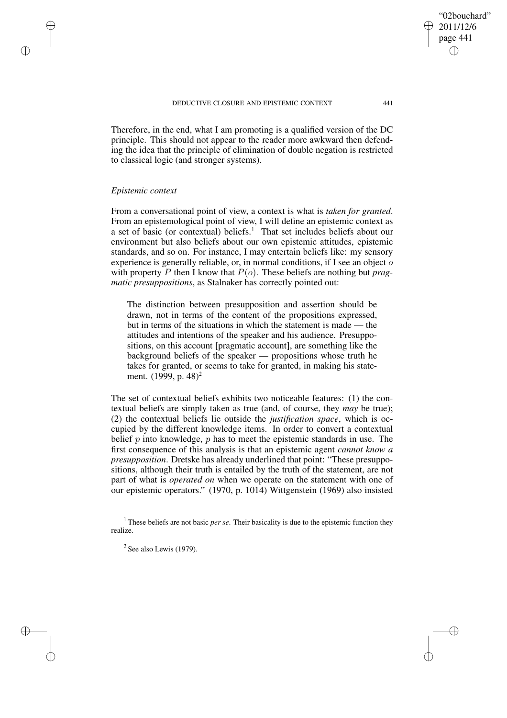Therefore, in the end, what I am promoting is a qualified version of the DC principle. This should not appear to the reader more awkward then defending the idea that the principle of elimination of double negation is restricted to classical logic (and stronger systems).

### *Epistemic context*

✐

✐

✐

✐

From a conversational point of view, a context is what is *taken for granted*. From an epistemological point of view, I will define an epistemic context as a set of basic (or contextual) beliefs.<sup>1</sup> That set includes beliefs about our environment but also beliefs about our own epistemic attitudes, epistemic standards, and so on. For instance, I may entertain beliefs like: my sensory experience is generally reliable, or, in normal conditions, if I see an object of with property P then I know that  $P(o)$ . These beliefs are nothing but *pragmatic presuppositions*, as Stalnaker has correctly pointed out:

The distinction between presupposition and assertion should be drawn, not in terms of the content of the propositions expressed, but in terms of the situations in which the statement is made — the attitudes and intentions of the speaker and his audience. Presuppositions, on this account [pragmatic account], are something like the background beliefs of the speaker — propositions whose truth he takes for granted, or seems to take for granted, in making his statement. (1999, p. 48)<sup>2</sup>

The set of contextual beliefs exhibits two noticeable features: (1) the contextual beliefs are simply taken as true (and, of course, they *may* be true); (2) the contextual beliefs lie outside the *justification space*, which is occupied by the different knowledge items. In order to convert a contextual belief  $p$  into knowledge,  $p$  has to meet the epistemic standards in use. The first consequence of this analysis is that an epistemic agent *cannot know a presupposition*. Dretske has already underlined that point: "These presuppositions, although their truth is entailed by the truth of the statement, are not part of what is *operated on* when we operate on the statement with one of our epistemic operators." (1970, p. 1014) Wittgenstein (1969) also insisted

"02bouchard" 2011/12/6 page 441

✐

✐

✐

<sup>&</sup>lt;sup>1</sup> These beliefs are not basic *per se*. Their basicality is due to the epistemic function they realize.

 $2$  See also Lewis (1979).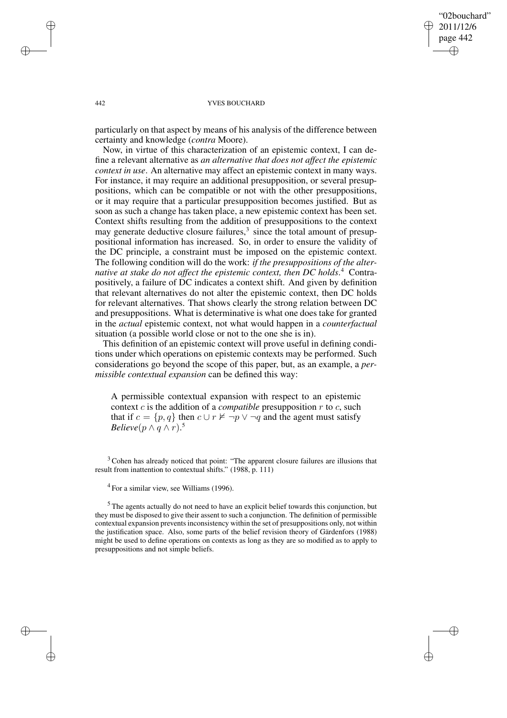✐

✐

#### 442 YVES BOUCHARD

particularly on that aspect by means of his analysis of the difference between certainty and knowledge (*contra* Moore).

Now, in virtue of this characterization of an epistemic context, I can define a relevant alternative as *an alternative that does not affect the epistemic context in use*. An alternative may affect an epistemic context in many ways. For instance, it may require an additional presupposition, or several presuppositions, which can be compatible or not with the other presuppositions, or it may require that a particular presupposition becomes justified. But as soon as such a change has taken place, a new epistemic context has been set. Context shifts resulting from the addition of presuppositions to the context may generate deductive closure failures,<sup>3</sup> since the total amount of presuppositional information has increased. So, in order to ensure the validity of the DC principle, a constraint must be imposed on the epistemic context. The following condition will do the work: *if the presuppositions of the alternative at stake do not affect the epistemic context, then DC holds*. <sup>4</sup> Contrapositively, a failure of DC indicates a context shift. And given by definition that relevant alternatives do not alter the epistemic context, then DC holds for relevant alternatives. That shows clearly the strong relation between DC and presuppositions. What is determinative is what one does take for granted in the *actual* epistemic context, not what would happen in a *counterfactual* situation (a possible world close or not to the one she is in).

This definition of an epistemic context will prove useful in defining conditions under which operations on epistemic contexts may be performed. Such considerations go beyond the scope of this paper, but, as an example, a *permissible contextual expansion* can be defined this way:

A permissible contextual expansion with respect to an epistemic context c is the addition of a *compatible* presupposition r to c, such that if  $c = \{p, q\}$  then  $c \cup r \nvDash \neg p \vee \neg q$  and the agent must satisfy *Believe*( $p \wedge q \wedge r$ ).<sup>5</sup>

<sup>3</sup> Cohen has already noticed that point: "The apparent closure failures are illusions that result from inattention to contextual shifts." (1988, p. 111)

✐

✐

✐

<sup>&</sup>lt;sup>4</sup> For a similar view, see Williams (1996).

<sup>&</sup>lt;sup>5</sup> The agents actually do not need to have an explicit belief towards this conjunction, but they must be disposed to give their assent to such a conjunction. The definition of permissible contextual expansion prevents inconsistency within the set of presuppositions only, not within the justification space. Also, some parts of the belief revision theory of Gärdenfors (1988) might be used to define operations on contexts as long as they are so modified as to apply to presuppositions and not simple beliefs.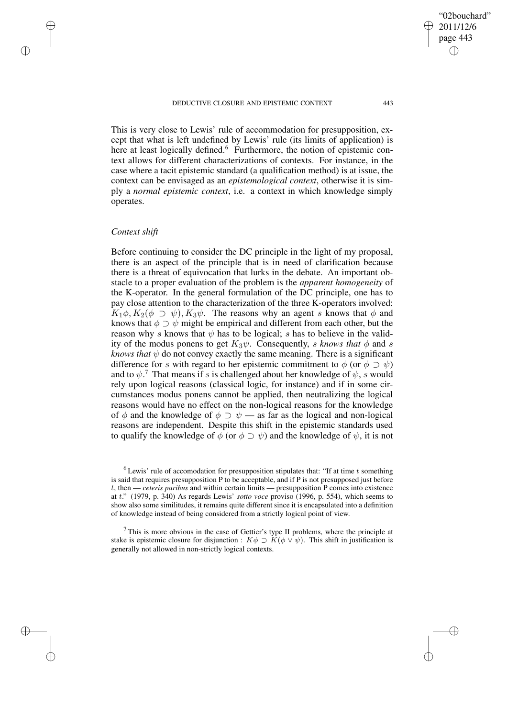This is very close to Lewis' rule of accommodation for presupposition, except that what is left undefined by Lewis' rule (its limits of application) is here at least logically defined.<sup>6</sup> Furthermore, the notion of epistemic context allows for different characterizations of contexts. For instance, in the case where a tacit epistemic standard (a qualification method) is at issue, the context can be envisaged as an *epistemological context*, otherwise it is simply a *normal epistemic context*, i.e. a context in which knowledge simply operates.

### *Context shift*

✐

✐

✐

✐

Before continuing to consider the DC principle in the light of my proposal, there is an aspect of the principle that is in need of clarification because there is a threat of equivocation that lurks in the debate. An important obstacle to a proper evaluation of the problem is the *apparent homogeneity* of the K-operator. In the general formulation of the DC principle, one has to pay close attention to the characterization of the three K-operators involved:  $K_1\phi, K_2(\phi \supset \psi), K_3\psi$ . The reasons why an agent s knows that  $\phi$  and knows that  $\phi \supset \psi$  might be empirical and different from each other, but the reason why s knows that  $\psi$  has to be logical; s has to believe in the validity of the modus ponens to get  $K_3\psi$ . Consequently, s knows that  $\phi$  and s *knows that*  $\psi$  do not convey exactly the same meaning. There is a significant difference for s with regard to her epistemic commitment to  $\phi$  (or  $\phi \supset \psi$ ) and to  $\psi$ .<sup>7</sup> That means if s is challenged about her knowledge of  $\psi$ , s would rely upon logical reasons (classical logic, for instance) and if in some circumstances modus ponens cannot be applied, then neutralizing the logical reasons would have no effect on the non-logical reasons for the knowledge of  $\phi$  and the knowledge of  $\phi \supset \psi$  — as far as the logical and non-logical reasons are independent. Despite this shift in the epistemic standards used to qualify the knowledge of  $\phi$  (or  $\phi \supset \psi$ ) and the knowledge of  $\psi$ , it is not

✐

 $6$  Lewis' rule of accomodation for presupposition stipulates that: "If at time  $t$  something is said that requires presupposition P to be acceptable, and if P is not presupposed just before t, then — *ceteris paribus* and within certain limits — presupposition P comes into existence at t." (1979, p. 340) As regards Lewis' *sotto voce* proviso (1996, p. 554), which seems to show also some similitudes, it remains quite different since it is encapsulated into a definition of knowledge instead of being considered from a strictly logical point of view.

 $7$  This is more obvious in the case of Gettier's type II problems, where the principle at stake is epistemic closure for disjunction :  $K\phi \supset K(\phi \vee \psi)$ . This shift in justification is generally not allowed in non-strictly logical contexts.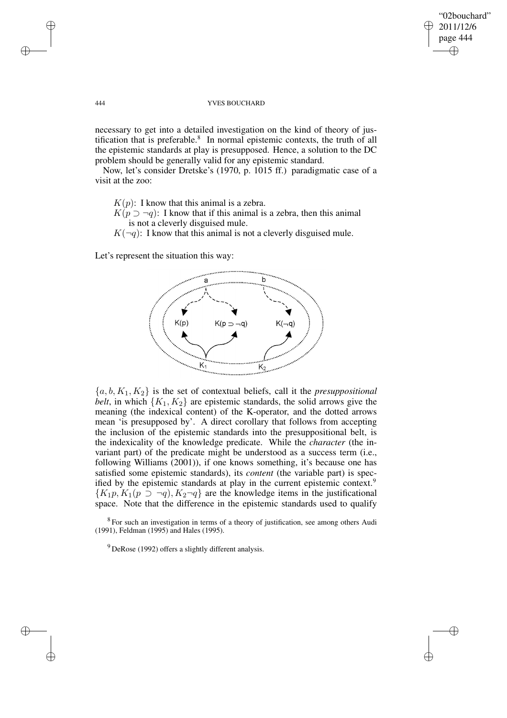✐

✐

### 444 YVES BOUCHARD

necessary to get into a detailed investigation on the kind of theory of justification that is preferable. $8\,$  In normal epistemic contexts, the truth of all the epistemic standards at play is presupposed. Hence, a solution to the DC problem should be generally valid for any epistemic standard.

Now, let's consider Dretske's (1970, p. 1015 ff.) paradigmatic case of a visit at the zoo:

 $K(p)$ : I know that this animal is a zebra.

 $K(p \supseteq \neg q)$ : I know that if this animal is a zebra, then this animal is not a cleverly disguised mule.

 $K(\neg q)$ : I know that this animal is not a cleverly disguised mule.

Let's represent the situation this way:



 ${a, b, K_1, K_2}$  is the set of contextual beliefs, call it the *presuppositional belt*, in which  ${K_1, K_2}$  are epistemic standards, the solid arrows give the meaning (the indexical content) of the K-operator, and the dotted arrows mean 'is presupposed by'. A direct corollary that follows from accepting the inclusion of the epistemic standards into the presuppositional belt, is the indexicality of the knowledge predicate. While the *character* (the invariant part) of the predicate might be understood as a success term (i.e., following Williams (2001)), if one knows something, it's because one has satisfied some epistemic standards), its *content* (the variable part) is specified by the epistemic standards at play in the current epistemic context.<sup>9</sup>  ${K_1p, K_1(p \supset \neg q), K_2\neg q}$  are the knowledge items in the justificational space. Note that the difference in the epistemic standards used to qualify

 $8$  For such an investigation in terms of a theory of justification, see among others Audi (1991), Feldman (1995) and Hales (1995).

 $9$  DeRose (1992) offers a slightly different analysis.

✐

✐

✐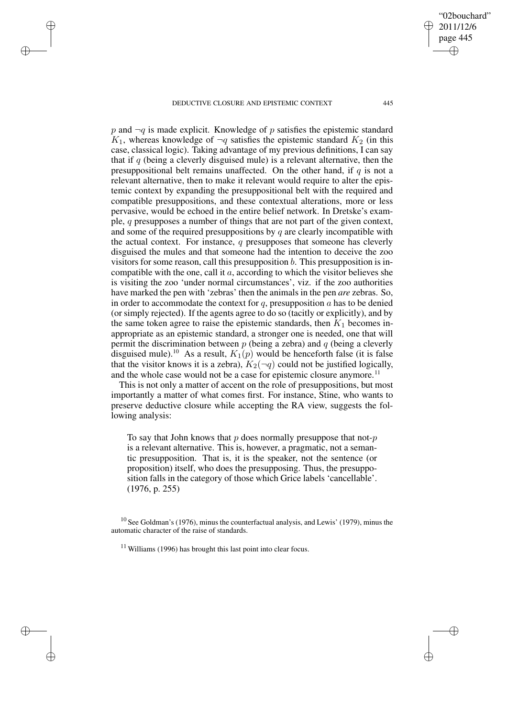✐

✐

✐

✐

 $p$  and  $\neg q$  is made explicit. Knowledge of p satisfies the epistemic standard  $K_1$ , whereas knowledge of  $\neg q$  satisfies the epistemic standard  $K_2$  (in this case, classical logic). Taking advantage of my previous definitions, I can say that if  $q$  (being a cleverly disguised mule) is a relevant alternative, then the presuppositional belt remains unaffected. On the other hand, if  $q$  is not a relevant alternative, then to make it relevant would require to alter the epistemic context by expanding the presuppositional belt with the required and compatible presuppositions, and these contextual alterations, more or less pervasive, would be echoed in the entire belief network. In Dretske's example, q presupposes a number of things that are not part of the given context, and some of the required presuppositions by q are clearly incompatible with the actual context. For instance,  $q$  presupposes that someone has cleverly disguised the mules and that someone had the intention to deceive the zoo visitors for some reason, call this presupposition  $b$ . This presupposition is incompatible with the one, call it  $a$ , according to which the visitor believes she is visiting the zoo 'under normal circumstances', viz. if the zoo authorities have marked the pen with 'zebras' then the animals in the pen *are* zebras. So, in order to accommodate the context for  $q$ , presupposition  $a$  has to be denied (or simply rejected). If the agents agree to do so (tacitly or explicitly), and by the same token agree to raise the epistemic standards, then  $K_1$  becomes inappropriate as an epistemic standard, a stronger one is needed, one that will permit the discrimination between  $p$  (being a zebra) and  $q$  (being a cleverly disguised mule).<sup>10</sup> As a result,  $K_1(p)$  would be henceforth false (it is false that the visitor knows it is a zebra),  $K_2(\neg q)$  could not be justified logically, and the whole case would not be a case for epistemic closure anymore.<sup>11</sup>

This is not only a matter of accent on the role of presuppositions, but most importantly a matter of what comes first. For instance, Stine, who wants to preserve deductive closure while accepting the RA view, suggests the following analysis:

To say that John knows that  $p$  does normally presuppose that not- $p$ is a relevant alternative. This is, however, a pragmatic, not a semantic presupposition. That is, it is the speaker, not the sentence (or proposition) itself, who does the presupposing. Thus, the presupposition falls in the category of those which Grice labels 'cancellable'. (1976, p. 255)

 $10$  See Goldman's (1976), minus the counterfactual analysis, and Lewis' (1979), minus the automatic character of the raise of standards.

 $11$  Williams (1996) has brought this last point into clear focus.

"02bouchard" 2011/12/6 page 445

✐

✐

✐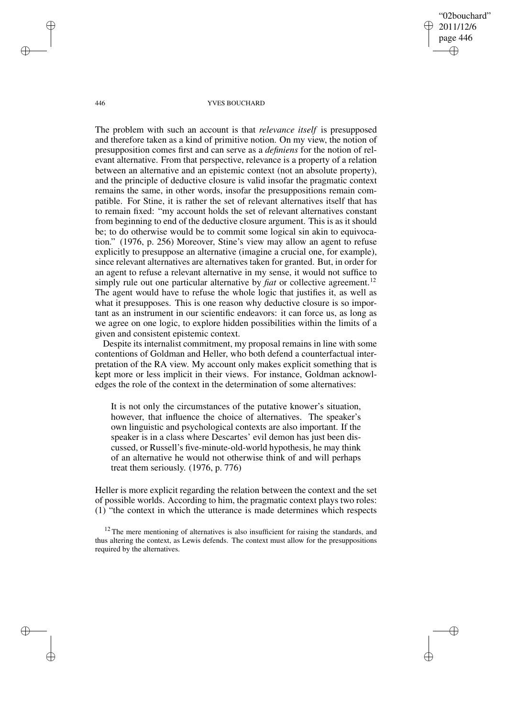"02bouchard" 2011/12/6 page 446 ✐ ✐

✐

✐

#### 446 YVES BOUCHARD

The problem with such an account is that *relevance itself* is presupposed and therefore taken as a kind of primitive notion. On my view, the notion of presupposition comes first and can serve as a *definiens* for the notion of relevant alternative. From that perspective, relevance is a property of a relation between an alternative and an epistemic context (not an absolute property), and the principle of deductive closure is valid insofar the pragmatic context remains the same, in other words, insofar the presuppositions remain compatible. For Stine, it is rather the set of relevant alternatives itself that has to remain fixed: "my account holds the set of relevant alternatives constant from beginning to end of the deductive closure argument. This is as it should be; to do otherwise would be to commit some logical sin akin to equivocation." (1976, p. 256) Moreover, Stine's view may allow an agent to refuse explicitly to presuppose an alternative (imagine a crucial one, for example), since relevant alternatives are alternatives taken for granted. But, in order for an agent to refuse a relevant alternative in my sense, it would not suffice to simply rule out one particular alternative by *fiat* or collective agreement.<sup>12</sup> The agent would have to refuse the whole logic that justifies it, as well as what it presupposes. This is one reason why deductive closure is so important as an instrument in our scientific endeavors: it can force us, as long as we agree on one logic, to explore hidden possibilities within the limits of a given and consistent epistemic context.

Despite its internalist commitment, my proposal remains in line with some contentions of Goldman and Heller, who both defend a counterfactual interpretation of the RA view. My account only makes explicit something that is kept more or less implicit in their views. For instance, Goldman acknowledges the role of the context in the determination of some alternatives:

It is not only the circumstances of the putative knower's situation, however, that influence the choice of alternatives. The speaker's own linguistic and psychological contexts are also important. If the speaker is in a class where Descartes' evil demon has just been discussed, or Russell's five-minute-old-world hypothesis, he may think of an alternative he would not otherwise think of and will perhaps treat them seriously. (1976, p. 776)

Heller is more explicit regarding the relation between the context and the set of possible worlds. According to him, the pragmatic context plays two roles: (1) "the context in which the utterance is made determines which respects

✐

✐

✐

 $12$  The mere mentioning of alternatives is also insufficient for raising the standards, and thus altering the context, as Lewis defends. The context must allow for the presuppositions required by the alternatives.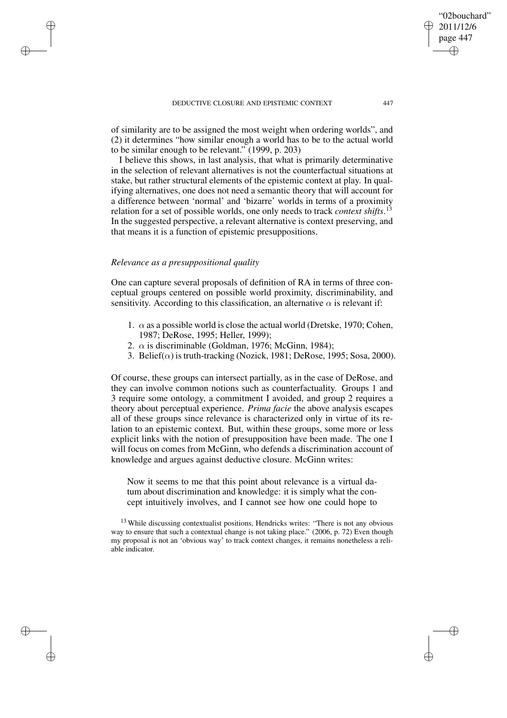of similarity are to be assigned the most weight when ordering worlds", and (2) it determines "how similar enough a world has to be to the actual world to be similar enough to be relevant." (1999, p. 203)

I believe this shows, in last analysis, that what is primarily determinative in the selection of relevant alternatives is not the counterfactual situations at stake, but rather structural elements of the epistemic context at play. In qualifying alternatives, one does not need a semantic theory that will account for a difference between 'normal' and 'bizarre' worlds in terms of a proximity relation for a set of possible worlds, one only needs to track *context shifts*. 13 In the suggested perspective, a relevant alternative is context preserving, and that means it is a function of epistemic presuppositions.

## *Relevance as a presuppositional quality*

✐

✐

✐

✐

One can capture several proposals of definition of RA in terms of three conceptual groups centered on possible world proximity, discriminability, and sensitivity. According to this classification, an alternative  $\alpha$  is relevant if:

- 1.  $\alpha$  as a possible world is close the actual world (Dretske, 1970; Cohen, 1987; DeRose, 1995; Heller, 1999);
- 2.  $\alpha$  is discriminable (Goldman, 1976; McGinn, 1984);
- 3. Belief( $\alpha$ ) is truth-tracking (Nozick, 1981; DeRose, 1995; Sosa, 2000).

Of course, these groups can intersect partially, as in the case of DeRose, and they can involve common notions such as counterfactuality. Groups 1 and 3 require some ontology, a commitment I avoided, and group 2 requires a theory about perceptual experience. *Prima facie* the above analysis escapes all of these groups since relevance is characterized only in virtue of its relation to an epistemic context. But, within these groups, some more or less explicit links with the notion of presupposition have been made. The one I will focus on comes from McGinn, who defends a discrimination account of knowledge and argues against deductive closure. McGinn writes:

Now it seems to me that this point about relevance is a virtual datum about discrimination and knowledge: it is simply what the concept intuitively involves, and I cannot see how one could hope to

<sup>13</sup> While discussing contextualist positions, Hendricks writes: "There is not any obvious way to ensure that such a contextual change is not taking place." (2006, p. 72) Even though my proposal is not an 'obvious way' to track context changes, it remains nonetheless a reliable indicator.

"02bouchard" 2011/12/6 page 447

✐

✐

✐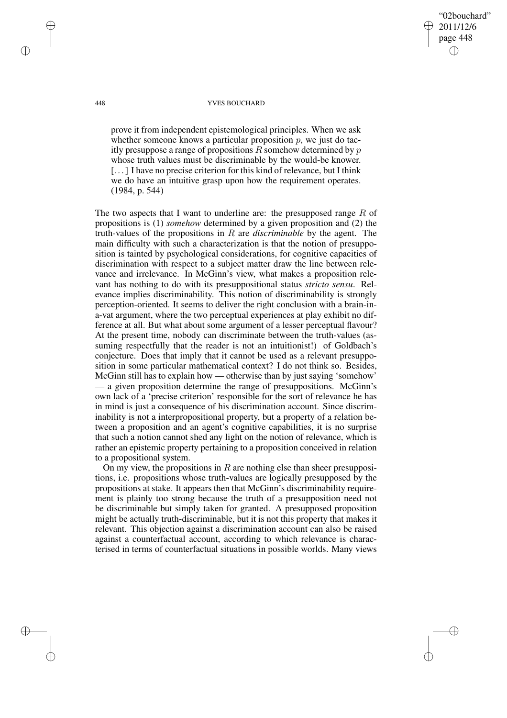2011/12/6 page 448 ✐ ✐

✐

✐

"02bouchard"

#### 448 YVES BOUCHARD

prove it from independent epistemological principles. When we ask whether someone knows a particular proposition  $p$ , we just do tacitly presuppose a range of propositions  $R$  somehow determined by  $p$ whose truth values must be discriminable by the would-be knower. [. . .] I have no precise criterion for this kind of relevance, but I think we do have an intuitive grasp upon how the requirement operates. (1984, p. 544)

The two aspects that I want to underline are: the presupposed range  $R$  of propositions is (1) *somehow* determined by a given proposition and (2) the truth-values of the propositions in R are *discriminable* by the agent. The main difficulty with such a characterization is that the notion of presupposition is tainted by psychological considerations, for cognitive capacities of discrimination with respect to a subject matter draw the line between relevance and irrelevance. In McGinn's view, what makes a proposition relevant has nothing to do with its presuppositional status *stricto sensu*. Relevance implies discriminability. This notion of discriminability is strongly perception-oriented. It seems to deliver the right conclusion with a brain-ina-vat argument, where the two perceptual experiences at play exhibit no difference at all. But what about some argument of a lesser perceptual flavour? At the present time, nobody can discriminate between the truth-values (assuming respectfully that the reader is not an intuitionist!) of Goldbach's conjecture. Does that imply that it cannot be used as a relevant presupposition in some particular mathematical context? I do not think so. Besides, McGinn still has to explain how — otherwise than by just saying 'somehow' — a given proposition determine the range of presuppositions. McGinn's own lack of a 'precise criterion' responsible for the sort of relevance he has in mind is just a consequence of his discrimination account. Since discriminability is not a interpropositional property, but a property of a relation between a proposition and an agent's cognitive capabilities, it is no surprise that such a notion cannot shed any light on the notion of relevance, which is rather an epistemic property pertaining to a proposition conceived in relation to a propositional system.

On my view, the propositions in  $R$  are nothing else than sheer presuppositions, i.e. propositions whose truth-values are logically presupposed by the propositions at stake. It appears then that McGinn's discriminability requirement is plainly too strong because the truth of a presupposition need not be discriminable but simply taken for granted. A presupposed proposition might be actually truth-discriminable, but it is not this property that makes it relevant. This objection against a discrimination account can also be raised against a counterfactual account, according to which relevance is characterised in terms of counterfactual situations in possible worlds. Many views

✐

✐

✐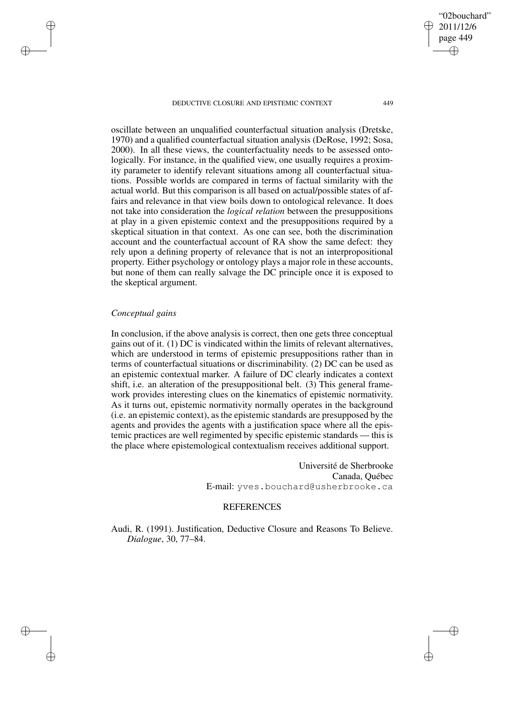oscillate between an unqualified counterfactual situation analysis (Dretske, 1970) and a qualified counterfactual situation analysis (DeRose, 1992; Sosa, 2000). In all these views, the counterfactuality needs to be assessed ontologically. For instance, in the qualified view, one usually requires a proximity parameter to identify relevant situations among all counterfactual situations. Possible worlds are compared in terms of factual similarity with the actual world. But this comparison is all based on actual/possible states of affairs and relevance in that view boils down to ontological relevance. It does not take into consideration the *logical relation* between the presuppositions at play in a given epistemic context and the presuppositions required by a skeptical situation in that context. As one can see, both the discrimination account and the counterfactual account of RA show the same defect: they rely upon a defining property of relevance that is not an interpropositional property. Either psychology or ontology plays a major role in these accounts, but none of them can really salvage the DC principle once it is exposed to the skeptical argument.

# *Conceptual gains*

✐

✐

✐

✐

In conclusion, if the above analysis is correct, then one gets three conceptual gains out of it. (1) DC is vindicated within the limits of relevant alternatives, which are understood in terms of epistemic presuppositions rather than in terms of counterfactual situations or discriminability. (2) DC can be used as an epistemic contextual marker. A failure of DC clearly indicates a context shift, i.e. an alteration of the presuppositional belt. (3) This general framework provides interesting clues on the kinematics of epistemic normativity. As it turns out, epistemic normativity normally operates in the background (i.e. an epistemic context), as the epistemic standards are presupposed by the agents and provides the agents with a justification space where all the epistemic practices are well regimented by specific epistemic standards — this is the place where epistemological contextualism receives additional support.

> Université de Sherbrooke Canada, Québec E-mail: yves.bouchard@usherbrooke.ca

## **REFERENCES**

Audi, R. (1991). Justification, Deductive Closure and Reasons To Believe. *Dialogue*, 30, 77–84.

✐

✐

"02bouchard"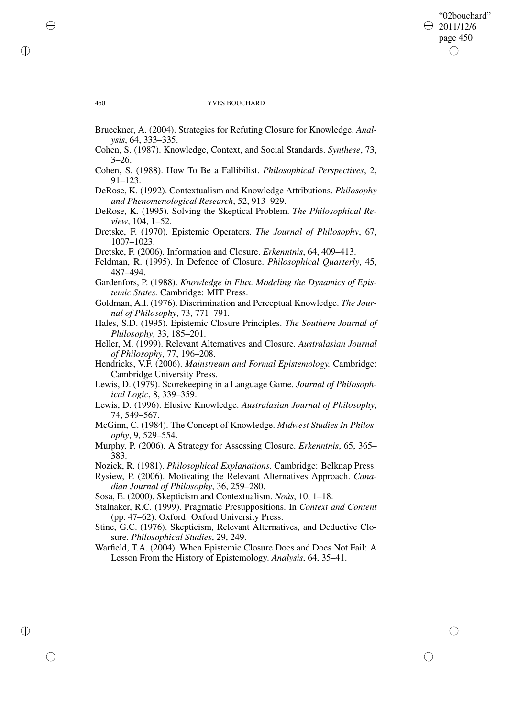## "02bouchard" 2011/12/6 page 450 ✐ ✐

✐

✐

#### 450 YVES BOUCHARD

- Brueckner, A. (2004). Strategies for Refuting Closure for Knowledge. *Analysis*, 64, 333–335.
- Cohen, S. (1987). Knowledge, Context, and Social Standards. *Synthese*, 73,  $3 - 26.$
- Cohen, S. (1988). How To Be a Fallibilist. *Philosophical Perspectives*, 2, 91–123.
- DeRose, K. (1992). Contextualism and Knowledge Attributions. *Philosophy and Phenomenological Research*, 52, 913–929.
- DeRose, K. (1995). Solving the Skeptical Problem. *The Philosophical Review*, 104, 1–52.
- Dretske, F. (1970). Epistemic Operators. *The Journal of Philosophy*, 67, 1007–1023.
- Dretske, F. (2006). Information and Closure. *Erkenntnis*, 64, 409–413.
- Feldman, R. (1995). In Defence of Closure. *Philosophical Quarterly*, 45, 487–494.
- Gärdenfors, P. (1988). *Knowledge in Flux. Modeling the Dynamics of Epistemic States.* Cambridge: MIT Press.
- Goldman, A.I. (1976). Discrimination and Perceptual Knowledge. *The Journal of Philosophy*, 73, 771–791.
- Hales, S.D. (1995). Epistemic Closure Principles. *The Southern Journal of Philosophy*, 33, 185–201.
- Heller, M. (1999). Relevant Alternatives and Closure. *Australasian Journal of Philosophy*, 77, 196–208.
- Hendricks, V.F. (2006). *Mainstream and Formal Epistemology.* Cambridge: Cambridge University Press.
- Lewis, D. (1979). Scorekeeping in a Language Game. *Journal of Philosophical Logic*, 8, 339–359.
- Lewis, D. (1996). Elusive Knowledge. *Australasian Journal of Philosophy*, 74, 549–567.
- McGinn, C. (1984). The Concept of Knowledge. *Midwest Studies In Philosophy*, 9, 529–554.
- Murphy, P. (2006). A Strategy for Assessing Closure. *Erkenntnis*, 65, 365– 383.
- Nozick, R. (1981). *Philosophical Explanations.* Cambridge: Belknap Press.
- Rysiew, P. (2006). Motivating the Relevant Alternatives Approach. *Canadian Journal of Philosophy*, 36, 259–280.

Sosa, E. (2000). Skepticism and Contextualism. *Noûs*, 10, 1–18.

Stalnaker, R.C. (1999). Pragmatic Presuppositions. In *Context and Content* (pp. 47–62). Oxford: Oxford University Press.

Stine, G.C. (1976). Skepticism, Relevant Alternatives, and Deductive Closure. *Philosophical Studies*, 29, 249.

Warfield, T.A. (2004). When Epistemic Closure Does and Does Not Fail: A Lesson From the History of Epistemology. *Analysis*, 64, 35–41.

✐

✐

✐